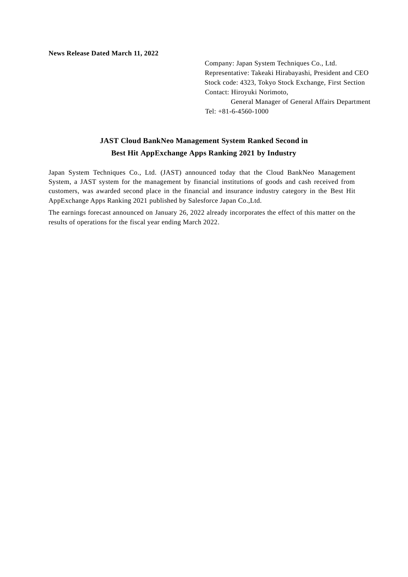**News Release Dated March 11, 2022**

Company: Japan System Techniques Co., Ltd. Representative: Takeaki Hirabayashi, President and CEO Stock code: 4323, Tokyo Stock Exchange, First Section Contact: Hiroyuki Norimoto, General Manager of General Affairs Department Tel: +81-6-4560-1000

## **JAST Cloud BankNeo Management System Ranked Second in Best Hit AppExchange Apps Ranking 2021 by Industry**

Japan System Techniques Co., Ltd. (JAST) announced today that the Cloud BankNeo Management System, a JAST system for the management by financial institutions of goods and cash received from customers, was awarded second place in the financial and insurance industry category in the Best Hit AppExchange Apps Ranking 2021 published by Salesforce Japan Co.,Ltd.

The earnings forecast announced on January 26, 2022 already incorporates the effect of this matter on the results of operations for the fiscal year ending March 2022.